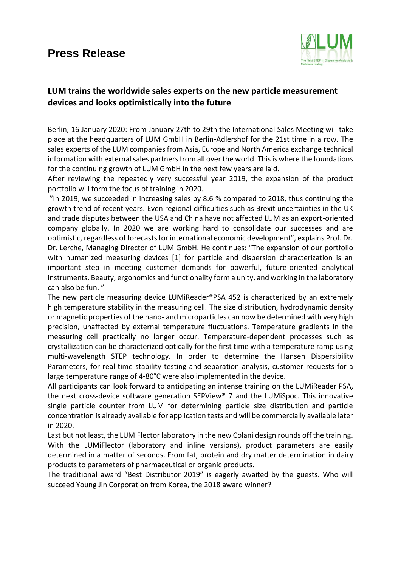## **Press Release**



## **LUM trains the worldwide sales experts on the new particle measurement devices and looks optimistically into the future**

Berlin, 16 January 2020: From January 27th to 29th the International Sales Meeting will take place at the headquarters of LUM GmbH in Berlin-Adlershof for the 21st time in a row. The sales experts of the LUM companies from Asia, Europe and North America exchange technical information with external sales partners from all over the world. This is where the foundations for the continuing growth of LUM GmbH in the next few years are laid.

After reviewing the repeatedly very successful year 2019, the expansion of the product portfolio will form the focus of training in 2020.

"In 2019, we succeeded in increasing sales by 8.6 % compared to 2018, thus continuing the growth trend of recent years. Even regional difficulties such as Brexit uncertainties in the UK and trade disputes between the USA and China have not affected LUM as an export-oriented company globally. In 2020 we are working hard to consolidate our successes and are optimistic, regardless of forecasts for international economic development", explains Prof. Dr. Dr. Lerche, Managing Director of LUM GmbH. He continues: "The expansion of our portfolio with humanized measuring devices [1] for particle and dispersion characterization is an important step in meeting customer demands for powerful, future-oriented analytical instruments. Beauty, ergonomics and functionality form a unity, and working in the laboratory can also be fun. "

The new particle measuring device LUMiReader®PSA 452 is characterized by an extremely high temperature stability in the measuring cell. The size distribution, hydrodynamic density or magnetic properties of the nano- and microparticles can now be determined with very high precision, unaffected by external temperature fluctuations. Temperature gradients in the measuring cell practically no longer occur. Temperature-dependent processes such as crystallization can be characterized optically for the first time with a temperature ramp using multi-wavelength STEP technology. In order to determine the Hansen Dispersibility Parameters, for real-time stability testing and separation analysis, customer requests for a large temperature range of 4-80°C were also implemented in the device.

All participants can look forward to anticipating an intense training on the LUMiReader PSA, the next cross-device software generation SEPView® 7 and the LUMiSpoc. This innovative single particle counter from LUM for determining particle size distribution and particle concentration is already available for application tests and will be commercially available later in 2020.

Last but not least, the LUMiFlector laboratory in the new Colani design rounds off the training. With the LUMiFlector (laboratory and inline versions), product parameters are easily determined in a matter of seconds. From fat, protein and dry matter determination in dairy products to parameters of pharmaceutical or organic products.

The traditional award "Best Distributor 2019" is eagerly awaited by the guests. Who will succeed Young Jin Corporation from Korea, the 2018 award winner?